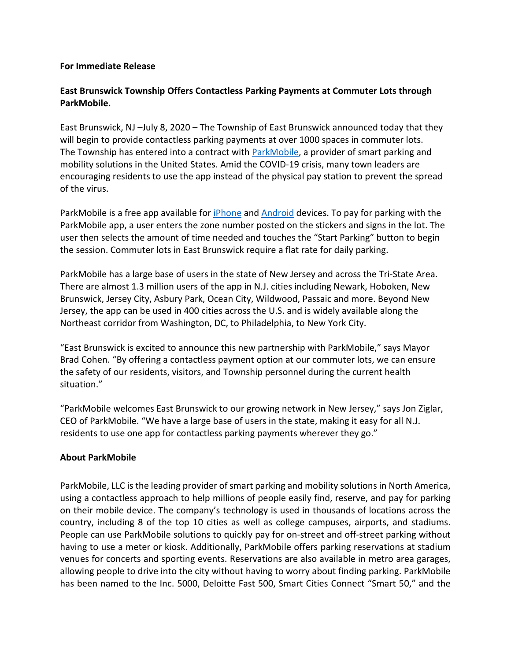## **For Immediate Release**

## **East Brunswick Township Offers Contactless Parking Payments at Commuter Lots through ParkMobile.**

East Brunswick, NJ –July 8, 2020 – The Township of East Brunswick announced today that they will begin to provide contactless parking payments at over 1000 spaces in commuter lots. The Township has entered into a contract with [ParkMobile,](https://parkmobile.io/) a provider of smart parking and mobility solutions in the United States. Amid the COVID-19 crisis, many town leaders are encouraging residents to use the app instead of the physical pay station to prevent the spread of the virus.

ParkMobile is a free app available fo[r iPhone](https://itunes.apple.com/us/app/parkmobile/id365399299?mt=8&utm_source=Parkmobile%20IOS&utm_medium=Social&utm_campaign=Parkmobile%20IOS&utm_term=Parkmobile%20IOS&utm_content=ATL%20United) and [Android](https://play.google.com/store/apps/details?id=net.sharewire.parkmobilev2&hl=en_US) devices. To pay for parking with the ParkMobile app, a user enters the zone number posted on the stickers and signs in the lot. The user then selects the amount of time needed and touches the "Start Parking" button to begin the session. Commuter lots in East Brunswick require a flat rate for daily parking.

ParkMobile has a large base of users in the state of New Jersey and across the Tri-State Area. There are almost 1.3 million users of the app in N.J. cities including Newark, Hoboken, New Brunswick, Jersey City, Asbury Park, Ocean City, Wildwood, Passaic and more. Beyond New Jersey, the app can be used in 400 cities across the U.S. and is widely available along the Northeast corridor from Washington, DC, to Philadelphia, to New York City.

"East Brunswick is excited to announce this new partnership with ParkMobile," says Mayor Brad Cohen. "By offering a contactless payment option at our commuter lots, we can ensure the safety of our residents, visitors, and Township personnel during the current health situation."

"ParkMobile welcomes East Brunswick to our growing network in New Jersey," says Jon Ziglar, CEO of ParkMobile. "We have a large base of users in the state, making it easy for all N.J. residents to use one app for contactless parking payments wherever they go."

## **About ParkMobile**

ParkMobile, LLC is the leading provider of smart parking and mobility solutions in North America, using a contactless approach to help millions of people easily find, reserve, and pay for parking on their mobile device. The company's technology is used in thousands of locations across the country, including 8 of the top 10 cities as well as college campuses, airports, and stadiums. People can use ParkMobile solutions to quickly pay for on-street and off-street parking without having to use a meter or kiosk. Additionally, ParkMobile offers parking reservations at stadium venues for concerts and sporting events. Reservations are also available in metro area garages, allowing people to drive into the city without having to worry about finding parking. ParkMobile has been named to the Inc. 5000, Deloitte Fast 500, Smart Cities Connect "Smart 50," and the